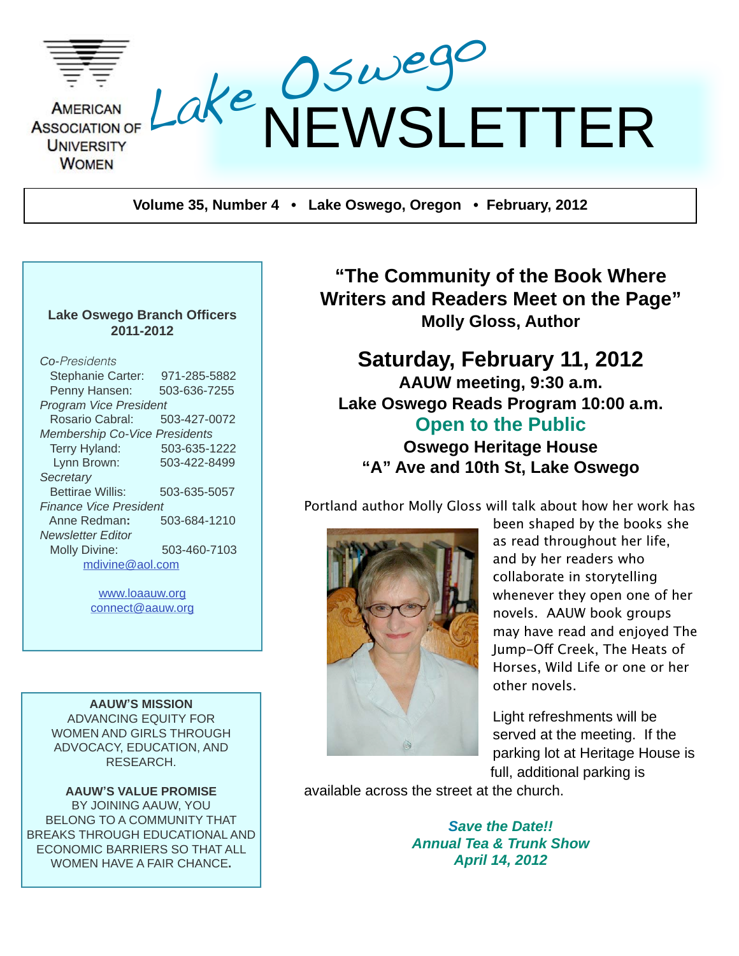

**Volume 35, Number 4 • Lake Oswego, Oregon • February, 2012**

#### **Lake Oswego Branch Officers 2011-2012**

| <b>Co-</b> Presidents                |              |  |  |  |  |  |
|--------------------------------------|--------------|--|--|--|--|--|
| <b>Stephanie Carter:</b>             | 971-285-5882 |  |  |  |  |  |
| Penny Hansen:                        | 503-636-7255 |  |  |  |  |  |
| <b>Program Vice President</b>        | 503-427-0072 |  |  |  |  |  |
| Rosario Cabral:                      |              |  |  |  |  |  |
| <b>Membership Co-Vice Presidents</b> |              |  |  |  |  |  |
| Terry Hyland:                        | 503-635-1222 |  |  |  |  |  |
| Lynn Brown:                          | 503-422-8499 |  |  |  |  |  |
| Secretary                            |              |  |  |  |  |  |
| <b>Bettirae Willis:</b>              | 503-635-5057 |  |  |  |  |  |
| <b>Finance Vice President</b>        |              |  |  |  |  |  |
| Anne Redman:                         | 503-684-1210 |  |  |  |  |  |
| Newsletter Editor                    |              |  |  |  |  |  |
| <b>Molly Divine:</b>                 | 503-460-7103 |  |  |  |  |  |
| mdivine@aol.com                      |              |  |  |  |  |  |
|                                      |              |  |  |  |  |  |

[www.loaauw.org](http://www.loaauw.org) [connect@aauw.org](mailto:connect@aauw.org)

**AAUW'S MISSION** ADVANCING EQUITY FOR WOMEN AND GIRLS THROUGH ADVOCACY, EDUCATION, AND RESEARCH.

**AAUW'S VALUE PROMISE** BY JOINING AAUW, YOU BELONG TO A COMMUNITY THAT BREAKS THROUGH EDUCATIONAL AND ECONOMIC BARRIERS SO THAT ALL WOMEN HAVE A FAIR CHANCE**.**

**"The Community of the Book Where Writers and Readers Meet on the Page" Molly Gloss, Author**

### **Saturday, February 11, 2012 AAUW meeting, 9:30 a.m. Lake Oswego Reads Program 10:00 a.m. Open to the Public**

**Oswego Heritage House "A" Ave and 10th St, Lake Oswego**

Portland author Molly Gloss will talk about how her work has



been shaped by the books she as read throughout her life, and by her readers who collaborate in storytelling whenever they open one of her novels. AAUW book groups may have read and enjoyed The Jump-Off Creek, The Heats of Horses, Wild Life or one or her other novels.

Light refreshments will be served at the meeting. If the parking lot at Heritage House is full, additional parking is

available across the street at the church.

*Save the Date!! Annual Tea & Trunk Show April 14, 2012*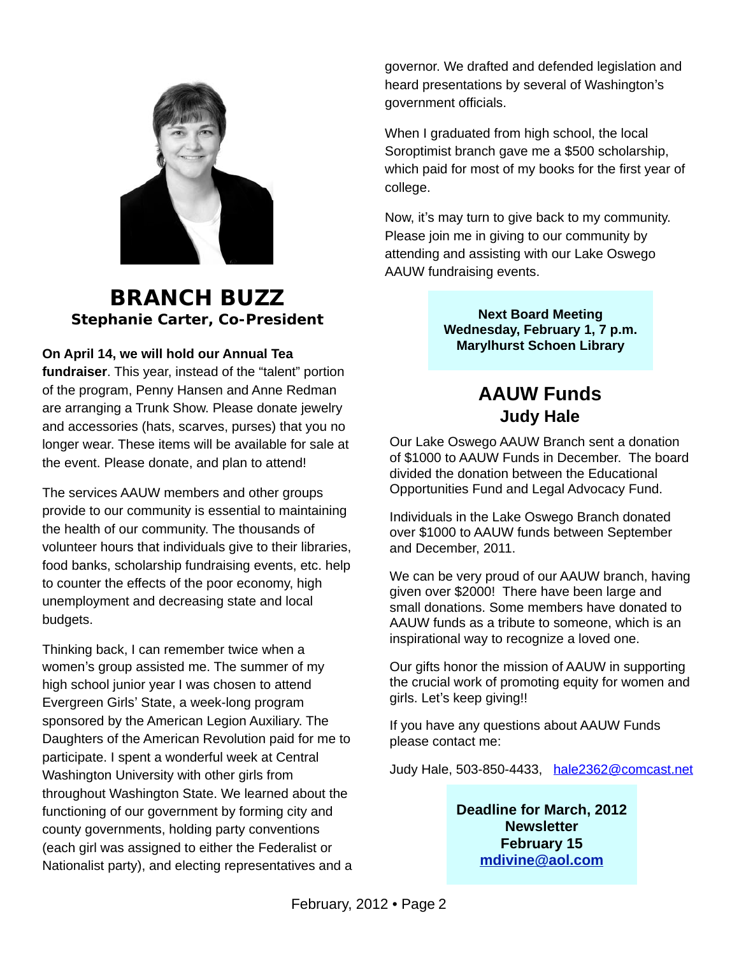

### **BRANCH BUZZ Stephanie Carter, Co-President**

#### **On April 14, we will hold our Annual Tea**

**fundraiser**. This year, instead of the "talent" portion of the program, Penny Hansen and Anne Redman are arranging a Trunk Show. Please donate jewelry and accessories (hats, scarves, purses) that you no longer wear. These items will be available for sale at the event. Please donate, and plan to attend!

The services AAUW members and other groups provide to our community is essential to maintaining the health of our community. The thousands of volunteer hours that individuals give to their libraries, food banks, scholarship fundraising events, etc. help to counter the effects of the poor economy, high unemployment and decreasing state and local budgets.

Thinking back, I can remember twice when a women's group assisted me. The summer of my high school junior year I was chosen to attend Evergreen Girls' State, a week-long program sponsored by the American Legion Auxiliary. The Daughters of the American Revolution paid for me to participate. I spent a wonderful week at Central Washington University with other girls from throughout Washington State. We learned about the functioning of our government by forming city and county governments, holding party conventions (each girl was assigned to either the Federalist or Nationalist party), and electing representatives and a governor. We drafted and defended legislation and heard presentations by several of Washington's government officials.

When I graduated from high school, the local Soroptimist branch gave me a \$500 scholarship, which paid for most of my books for the first year of college.

Now, it's may turn to give back to my community. Please join me in giving to our community by attending and assisting with our Lake Oswego AAUW fundraising events.

> **Next Board Meeting Wednesday, February 1, 7 p.m. Marylhurst Schoen Library**

## **AAUW Funds Judy Hale**

Our Lake Oswego AAUW Branch sent a donation of \$1000 to AAUW Funds in December. The board divided the donation between the Educational Opportunities Fund and Legal Advocacy Fund.

Individuals in the Lake Oswego Branch donated over \$1000 to AAUW funds between September and December, 2011.

We can be very proud of our AAUW branch, having given over \$2000! There have been large and small donations. Some members have donated to AAUW funds as a tribute to someone, which is an inspirational way to recognize a loved one.

Our gifts honor the mission of AAUW in supporting the crucial work of promoting equity for women and girls. Let's keep giving!!

If you have any questions about AAUW Funds please contact me:

Judy Hale, 503-850-4433, [hale2362@comcast.net](mailto:hale2362@comcast.net)

**Deadline for March, 2012 Newsletter February 15 [mdivine@aol.com](mailto:mdivine@aol.com)**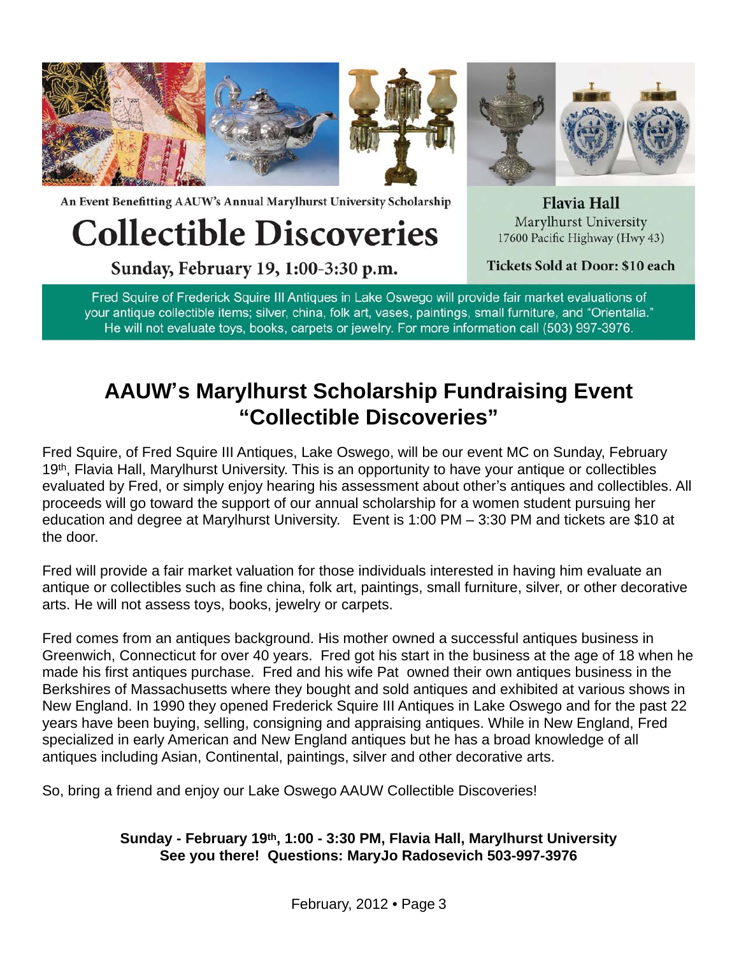

An Event Benefitting AAUW's Annual Marylhurst University Scholarship

# **Collectible Discoveries**

Sunday, February 19, 1:00-3:30 p.m.

**Flavia Hall** Marylhurst University 17600 Pacific Highway (Hwy 43)

Tickets Sold at Door: \$10 each

Fred Squire of Frederick Squire III Antiques in Lake Oswego will provide fair market evaluations of your antique collectible items; silver, china, folk art, vases, paintings, small furniture, and "Orientalia." He will not evaluate toys, books, carpets or jewelry. For more information call (503) 997-3976.

## **AAUW's Marylhurst Scholarship Fundraising Event "Collectible Discoveries"**

Fred Squire, of Fred Squire III Antiques, Lake Oswego, will be our event MC on Sunday, February 19<sup>th</sup>, Flavia Hall, Marylhurst University. This is an opportunity to have your antique or collectibles evaluated by Fred, or simply enjoy hearing his assessment about other's antiques and collectibles. All proceeds will go toward the support of our annual scholarship for a women student pursuing her education and degree at Marylhurst University. Event is 1:00 PM – 3:30 PM and tickets are \$10 at the door.

Fred will provide a fair market valuation for those individuals interested in having him evaluate an antique or collectibles such as fine china, folk art, paintings, small furniture, silver, or other decorative arts. He will not assess toys, books, jewelry or carpets.

Fred comes from an antiques background. His mother owned a successful antiques business in Greenwich, Connecticut for over 40 years. Fred got his start in the business at the age of 18 when he made his first antiques purchase. Fred and his wife Pat owned their own antiques business in the Berkshires of Massachusetts where they bought and sold antiques and exhibited at various shows in New England. In 1990 they opened Frederick Squire III Antiques in Lake Oswego and for the past 22 years have been buying, selling, consigning and appraising antiques. While in New England, Fred specialized in early American and New England antiques but he has a broad knowledge of all antiques including Asian, Continental, paintings, silver and other decorative arts.

So, bring a friend and enjoy our Lake Oswego AAUW Collectible Discoveries!

#### **Sunday - February 19th, 1:00 - 3:30 PM, Flavia Hall, Marylhurst University See you there! Questions: MaryJo Radosevich 503-997-3976**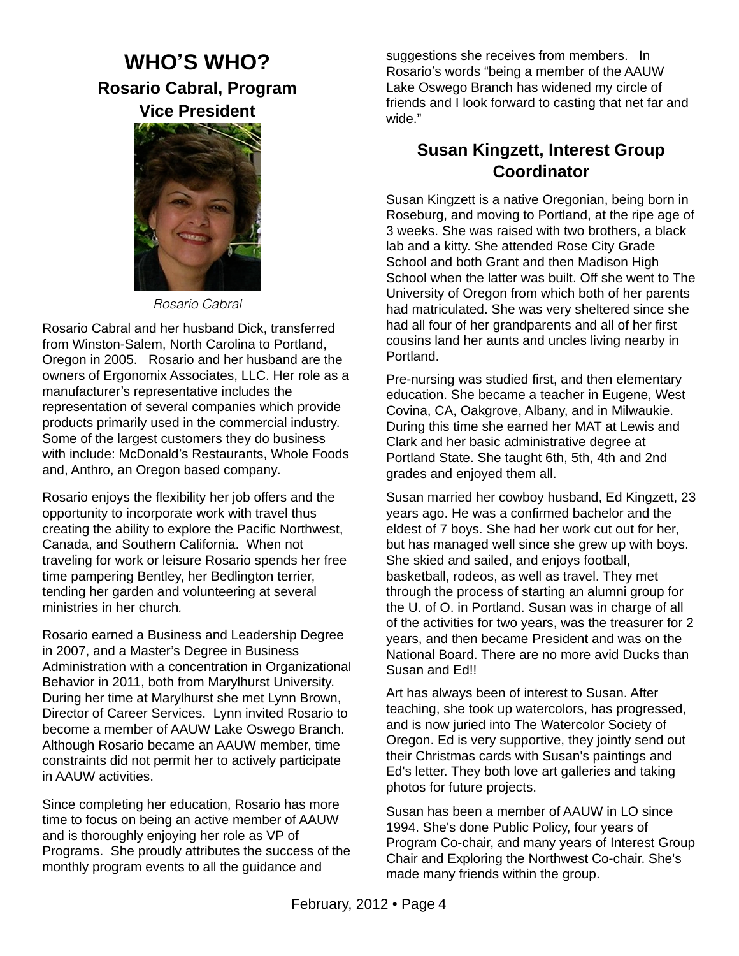## **WHO'S WHO? Rosario Cabral, Program Vice President**



*Rosario Cabral*

Rosario Cabral and her husband Dick, transferred from Winston-Salem, North Carolina to Portland, Oregon in 2005. Rosario and her husband are the owners of Ergonomix Associates, LLC. Her role as a manufacturer's representative includes the representation of several companies which provide products primarily used in the commercial industry. Some of the largest customers they do business with include: McDonald's Restaurants, Whole Foods and, Anthro, an Oregon based company*.* 

Rosario enjoys the flexibility her job offers and the opportunity to incorporate work with travel thus creating the ability to explore the Pacific Northwest, Canada, and Southern California. When not traveling for work or leisure Rosario spends her free time pampering Bentley, her Bedlington terrier, tending her garden and volunteering at several ministries in her church*.*

Rosario earned a Business and Leadership Degree in 2007, and a Master's Degree in Business Administration with a concentration in Organizational Behavior in 2011, both from Marylhurst University. During her time at Marylhurst she met Lynn Brown, Director of Career Services. Lynn invited Rosario to become a member of AAUW Lake Oswego Branch. Although Rosario became an AAUW member, time constraints did not permit her to actively participate in AAUW activities.

Since completing her education, Rosario has more time to focus on being an active member of AAUW and is thoroughly enjoying her role as VP of Programs. She proudly attributes the success of the monthly program events to all the guidance and

suggestions she receives from members. In Rosario's words "being a member of the AAUW Lake Oswego Branch has widened my circle of friends and I look forward to casting that net far and wide."

#### **Susan Kingzett, Interest Group Coordinator**

Susan Kingzett is a native Oregonian, being born in Roseburg, and moving to Portland, at the ripe age of 3 weeks. She was raised with two brothers, a black lab and a kitty. She attended Rose City Grade School and both Grant and then Madison High School when the latter was built. Off she went to The University of Oregon from which both of her parents had matriculated. She was very sheltered since she had all four of her grandparents and all of her first cousins land her aunts and uncles living nearby in Portland.

Pre-nursing was studied first, and then elementary education. She became a teacher in Eugene, West Covina, CA, Oakgrove, Albany, and in Milwaukie. During this time she earned her MAT at Lewis and Clark and her basic administrative degree at Portland State. She taught 6th, 5th, 4th and 2nd grades and enjoyed them all.

Susan married her cowboy husband, Ed Kingzett, 23 years ago. He was a confirmed bachelor and the eldest of 7 boys. She had her work cut out for her, but has managed well since she grew up with boys. She skied and sailed, and enjoys football, basketball, rodeos, as well as travel. They met through the process of starting an alumni group for the U. of O. in Portland. Susan was in charge of all of the activities for two years, was the treasurer for 2 years, and then became President and was on the National Board. There are no more avid Ducks than Susan and Ed!!

Art has always been of interest to Susan. After teaching, she took up watercolors, has progressed, and is now juried into The Watercolor Society of Oregon. Ed is very supportive, they jointly send out their Christmas cards with Susan's paintings and Ed's letter. They both love art galleries and taking photos for future projects.

Susan has been a member of AAUW in LO since 1994. She's done Public Policy, four years of Program Co-chair, and many years of Interest Group Chair and Exploring the Northwest Co-chair. She's made many friends within the group.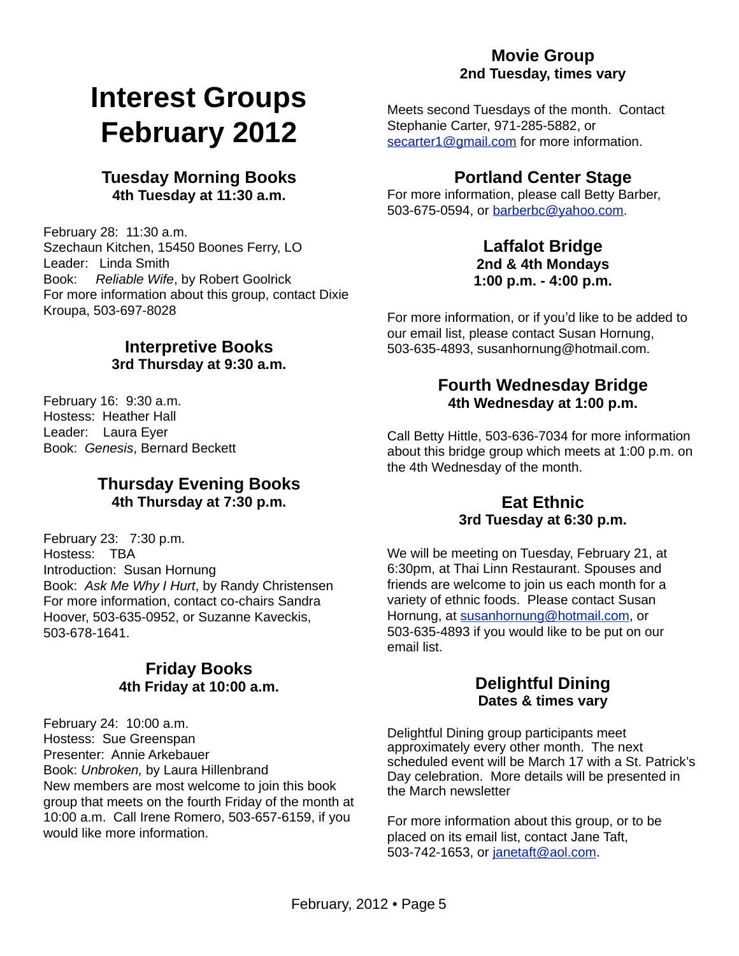## **Interest Groups February 2012**

#### **Tuesday Morning Books 4th Tuesday at 11:30 a.m.**

February 28: 11:30 a.m. Szechaun Kitchen, 15450 Boones Ferry, LO Leader: Linda Smith Book: *Reliable Wife*, by Robert Goolrick For more information about this group, contact Dixie Kroupa, 503-697-8028

#### **Interpretive Books 3rd Thursday at 9:30 a.m.**

February 16: 9:30 a.m. Hostess: Heather Hall Leader: Laura Eyer Book: *Genesis*, Bernard Beckett

#### **Thursday Evening Books 4th Thursday at 7:30 p.m.**

February 23: 7:30 p.m. Hostess: TBA Introduction: Susan Hornung Book: *Ask Me Why I Hurt*, by Randy Christensen For more information, contact co-chairs Sandra Hoover, 503-635-0952, or Suzanne Kaveckis, 503-678-1641.

#### **Friday Books 4th Friday at 10:00 a.m.**

February 24: 10:00 a.m. Hostess: Sue Greenspan Presenter: Annie Arkebauer Book: *Unbroken,* by Laura Hillenbrand New members are most welcome to join this book group that meets on the fourth Friday of the month at 10:00 a.m. Call Irene Romero, 503-657-6159, if you would like more information.

#### **Movie Group 2nd Tuesday, times vary**

Meets second Tuesdays of the month. Contact Stephanie Carter, 971-285-5882, or [secarter1@gmail.com](mailto:secarter1@gmail.com) for more information.

#### **Portland Center Stage**

For more information, please call Betty Barber, 503-675-0594, or [barberbc@yahoo.com.](mailto:barberbc@yahoo.com)

#### **Laffalot Bridge 2nd & 4th Mondays 1:00 p.m. - 4:00 p.m.**

For more information, or if you'd like to be added to our email list, please contact Susan Hornung, 503-635-4893, susanhornung@hotmail.com.

#### **Fourth Wednesday Bridge 4th Wednesday at 1:00 p.m.**

Call Betty Hittle, 503-636-7034 for more information about this bridge group which meets at 1:00 p.m. on the 4th Wednesday of the month.

#### **Eat Ethnic 3rd Tuesday at 6:30 p.m.**

We will be meeting on Tuesday, February 21, at 6:30pm, at Thai Linn Restaurant. Spouses and friends are welcome to join us each month for a variety of ethnic foods. Please contact Susan Hornung, at [susanhornung@hotmail.com,](mailto:susanhornung@hotmail.com) or 503-635-4893 if you would like to be put on our email list.

#### **Delightful Dining Dates & times vary**

Delightful Dining group participants meet approximately every other month. The next scheduled event will be March 17 with a St. Patrick's Day celebration. More details will be presented in the March newsletter

For more information about this group, or to be placed on its email list, contact Jane Taft, 503-742-1653, or [janetaft@aol.com.](mailto:janetaft@aol.com)